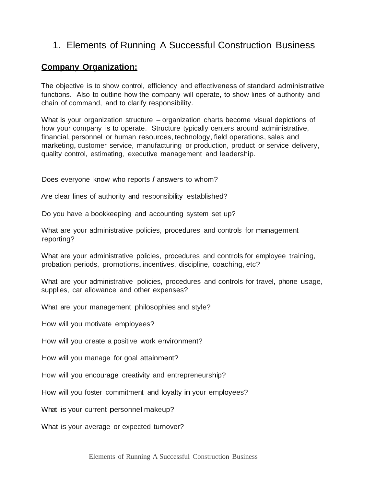# 1. Elements of Running A Successful Construction Business

# **Company Organization:**

The objective is to show control, efficiency and effectiveness of standard administrative functions. Also to outline how the company will operate, to show lines of authority and chain of command, and to clarify responsibility.

What is your organization structure – organization charts become visual depictions of how your company is to operate. Structure typically centers around administrative, financial, personnel or human resources, technology, field operations, sales and marketing, customer service, manufacturing or production, product or service delivery, quality control, estimating, executive management and leadership.

Does everyone know who reports *I* answers to whom?

Are clear lines of authority and responsibility established?

Do you have a bookkeeping and accounting system set up?

What are your administrative policies, procedures and controls for management reporting?

What are your administrative policies, procedures and controls for employee training, probation periods, promotions, incentives, discipline, coaching, etc?

What are your administrative policies, procedures and controls for travel, phone usage, supplies, car allowance and other expenses?

What are your management philosophies and style?

How will you motivate employees?

How will you create a positive work environment?

How will you manage for goal attainment?

How will you encourage creativity and entrepreneurship?

How will you foster commitment and loyalty in your employees?

What is your current personnel makeup?

What is your average or expected turnover?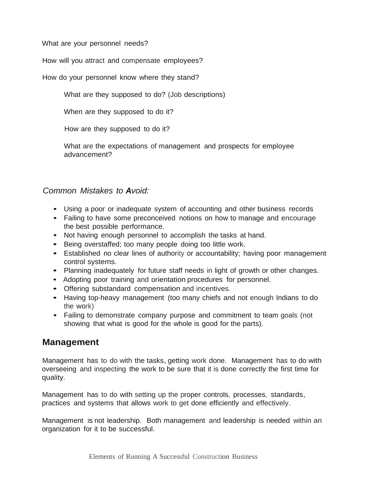What are your personnel needs?

How will you attract and compensate employees?

How do your personnel know where they stand?

What are they supposed to do? (Job descriptions)

When are they supposed to do it?

How are they supposed to do it?

What are the expectations of management and prospects for employee advancement?

# *Common Mistakes to Avoid:*

- Using a poor or inadequate system of accounting and other business records
- Failing to have some preconceived notions on how to manage and encourage the best possible performance.
- Not having enough personnel to accomplish the tasks at hand.
- Being overstaffed; too many people doing too little work.
- Established no clear lines of authority or accountability; having poor management control systems.
- Planning inadequately for future staff needs in light of growth or other changes.
- Adopting poor training and orientation procedures for personnel.
- Offering substandard compensation and incentives.
- Having top-heavy management (too many chiefs and not enough Indians to do the work)
- Failing to demonstrate company purpose and commitment to team goals (not showing that what is good for the whole is good for the parts).

# **Management**

Management has to do with the tasks, getting work done. Management has to do with overseeing and inspecting the work to be sure that it is done correctly the first time for quality.

Management has to do with setting up the proper controls, processes, standards, practices and systems that allows work to get done efficiently and effectively.

Management is not leadership. Both management and leadership is needed within an organization for it to be successful.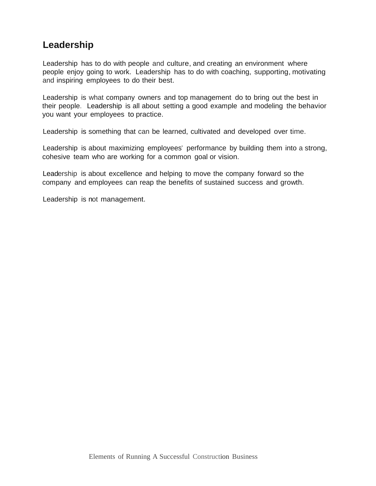# **Leadership**

Leadership has to do with people and culture, and creating an environment where people enjoy going to work. Leadership has to do with coaching, supporting, motivating and inspiring employees to do their best.

Leadership is what company owners and top management do to bring out the best in their people. Leadership is all about setting a good example and modeling the behavior you want your employees to practice.

Leadership is something that can be learned, cultivated and developed over time.

Leadership is about maximizing employees' performance by building them into a strong, cohesive team who are working for a common goal or vision.

Leadership is about excellence and helping to move the company forward so the company and employees can reap the benefits of sustained success and growth.

Leadership is not management.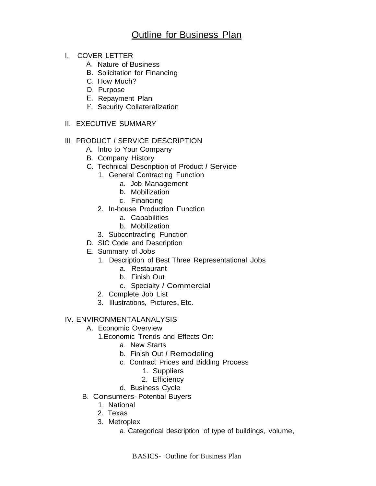- I. COVER LETTER
	- A. Nature of Business
	- B. Solicitation for Financing
	- C. How Much?
	- D. Purpose
	- E. Repayment Plan
	- F. Security Collateralization
- II. EXECUTIVE SUMMARY

# Ill. PRODUCT *I* SERVICE DESCRIPTION

- A. lntro to Your Company
- B. Company History
- C. Technical Description of Product *<sup>I</sup>* Service
	- 1. General Contracting Function
		- a. Job Management
		- b. Mobilization
		- c. Financing
	- 2. In-house Production Function
		- a. Capabilities
		- b. Mobilization
	- 3. Subcontracting Function
- D. SIC Code and Description
- E. Summary of Jobs
	- 1. Description of Best Three Representational Jobs
		- a. Restaurant
		- b. Finish Out
		- c. Specialty *I* Commercial
	- 2. Complete Job List
	- 3. Illustrations, Pictures, Etc.

## IV. ENVIRONMENTALANALYSIS

- A. Economic Overview
	- 1.Economic Trends and Effects On:
		- a. New Starts
		- b. Finish Out *I* Remodeling
		- c. Contract Prices and Bidding Process
			- 1. Suppliers
			- 2. Efficiency
		- d. Business Cycle
- B. Consumers- Potential Buyers
	- 1. National
	- 2. Texas
	- 3. Metroplex
		- a. Categorical description of type of buildings, volume,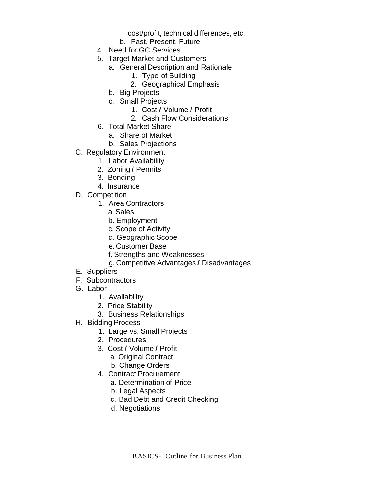cost/profit, technical differences, etc.

- b. Past, Present, Future
- 4. Need for GC Services
- 5. Target Market and Customers
	- a. General Description and Rationale
		- 1. Type of Building
		- 2. Geographical Emphasis
		- b. Big Projects
		- c. Small Projects
			- 1. Cost *I* Volume *I* Profit
			- 2. Cash Flow Considerations
- 6. Total Market Share
	- a. Share of Market
	- b. Sales Projections
- C. Regulatory Environment
	- 1. Labor Availability
	- 2. Zoning *I* Permits
	- 3. Bonding
	- 4. Insurance
- D. Competition
	- 1. Area Contractors
		- a. Sales
		- b. Employment
		- c. Scope of Activity
		- d.Geographic Scope
		- e. Customer Base
		- f. Strengths and Weaknesses
		- g. Competitive Advantages *I* Disadvantages
- E. Suppliers
- F. Subcontractors
- G. Labor
	- 1. Availability
	- 2. Price Stability
	- 3. Business Relationships
- H. Bidding Process
	- 1. Large vs. Small Projects
	- 2. Procedures
	- 3. Cost *I* Volume *I* Profit
		- a. Original Contract
		- b. Change Orders
	- 4. Contract Procurement
		- a. Determination of Price
			- b. Legal Aspects
			- c. Bad Debt and Credit Checking
			- d. Negotiations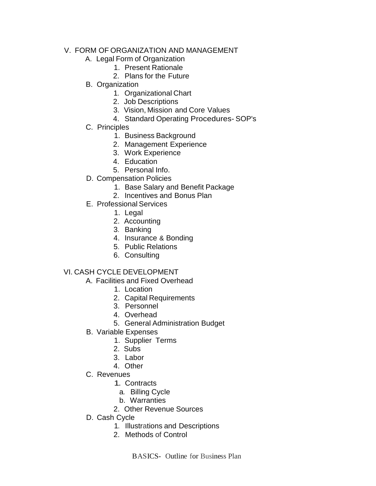# V. FORM OF ORGANIZATION AND MANAGEMENT

- A. Legal Form of Organization
	- 1. Present Rationale
	- 2. Plans for the Future
- B. Organization
	- 1. Organizational Chart
	- 2. Job Descriptions
	- 3. Vision, Mission and Core Values
	- 4. Standard Operating Procedures- SOP's
- C. Principles
	- 1. Business Background
	- 2. Management Experience
	- 3. Work Experience
	- 4. Education
	- 5. Personal Info.
- D. Compensation Policies
	- 1. Base Salary and Benefit Package
	- 2. Incentives and Bonus Plan
- E. Professional Services
	- 1. Legal
	- 2. Accounting
	- 3. Banking
	- 4. Insurance & Bonding
	- 5. Public Relations
	- 6. Consulting

# VI. CASH CYCLE DEVELOPMENT

- A. Facilities and Fixed Overhead
	- 1. Location
		- 2. Capital Requirements
	- 3. Personnel
	- 4. Overhead
	- 5. General Administration Budget
- B. Variable Expenses
	- 1. Supplier Terms
	- 2. Subs
	- 3. Labor
	- 4. Other
- C. Revenues
	- 1. Contracts
		- a. Billing Cycle
		- b. Warranties
	- 2. Other Revenue Sources
- D. Cash Cycle
	- 1. Illustrations and Descriptions
	- 2. Methods of Control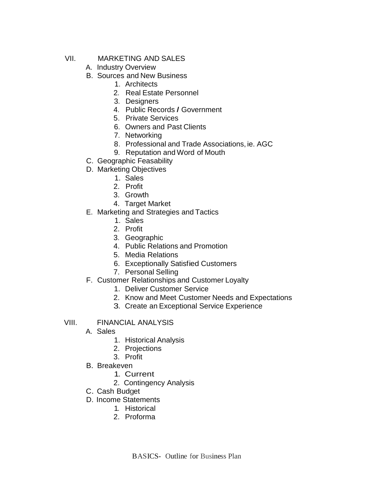- VII. MARKETING AND SALES
	- A. Industry Overview
	- B. Sources and New Business
		- 1. Architects
		- 2. Real Estate Personnel
		- 3. Designers
		- 4. Public Records *I* Government
		- 5. Private Services
		- 6. Owners and Past Clients
		- 7. Networking
		- 8. Professional and Trade Associations, ie. AGC
		- 9. Reputation and Word of Mouth
	- C. Geographic Feasability
	- D. Marketing Objectives
		- 1. Sales
		- 2. Profit
		- 3. Growth
		- 4. Target Market
	- E. Marketing and Strategies and Tactics
		- 1. Sales
		- 2. Profit
		- 3. Geographic
		- 4. Public Relations and Promotion
		- 5. Media Relations
		- 6. Exceptionally Satisfied Customers
		- 7. Personal Selling
	- F. Customer Relationships and Customer Loyalty
		- 1. Deliver Customer Service
		- 2. Know and Meet Customer Needs and Expectations
		- 3. Create an Exceptional Service Experience

## VIII. FINANCIAL ANALYSIS

- A. Sales
	- 1. Historical Analysis
	- 2. Projections
	- 3. Profit
- B. Breakeven
	- 1. Current
	- 2. Contingency Analysis
- C. Cash Budget
- D. Income Statements
	- 1. Historical
	- 2. Proforma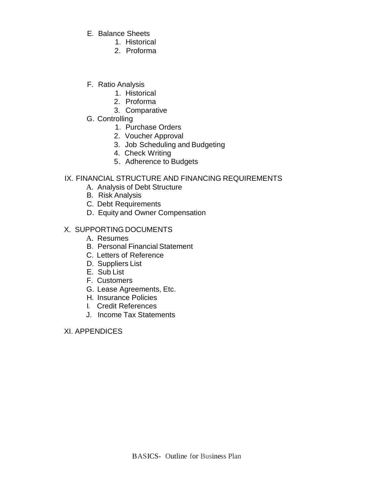- E. Balance Sheets
	- 1. Historical
	- 2. Proforma
- F. Ratio Analysis
	- 1. Historical
	- 2. Proforma
	- 3. Comparative
- G. Controlling
	- 1. Purchase Orders
	- 2. Voucher Approval
	- 3. Job Scheduling and Budgeting
	- 4. Check Writing
	- 5. Adherence to Budgets

# IX. FINANCIAL STRUCTURE AND FINANCING REQUIREMENTS

- A. Analysis of Debt Structure
- B. Risk Analysis
- C. Debt Requirements
- D. Equity and Owner Compensation

## X. SUPPORTING DOCUMENTS

- A. Resumes
- B. Personal Financial Statement
- C. Letters of Reference
- D. Suppliers List
- E. Sub List
- F. Customers
- G. Lease Agreements, Etc.
- H. Insurance Policies
- I. Credit References
- J. Income Tax Statements

XI. APPENDICES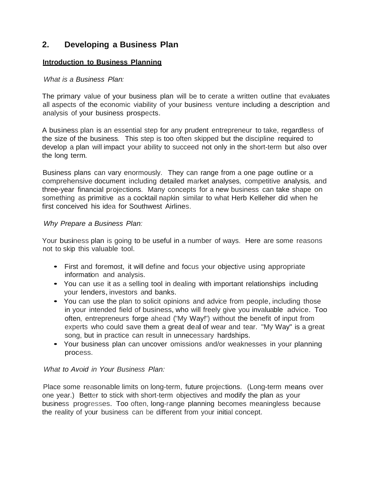# **2. Developing a Business Plan**

#### **Introduction to Business Planning**

#### *What is a Business Plan:*

The primary value of your business plan will be to cerate a written outline that evaluates all aspects of the economic viability of your business venture including a description and analysis of your business prospects.

A business plan is an essential step for any prudent entrepreneur to take, regardless of the size of the business. This step is too often skipped but the discipline required to develop a plan will impact your ability to succeed not only in the short-term but also over the long term.

Business plans can vary enormously. They can range from a one page outline or a comprehensive document including detailed market analyses, competitive analysis, and three-year financial projections. Many concepts for a new business can take shape on something as primitive as a cocktail napkin similar to what Herb Kelleher did when he first conceived his idea for Southwest Airlines.

#### *Why Prepare a Business Plan:*

Your business plan is going to be useful in a number of ways. Here are some reasons not to skip this valuable tool.

- First and foremost, it will define and focus your objective using appropriate information and analysis.
- You can use it as <sup>a</sup> selling tool in dealing with important relationships including your lenders,investors and banks.
- You can use the plan to solicit opinions and advice from people, including those in your intended field of business, who will freely give you invaluable advice. Too often, entrepreneurs forge ahead ("My Way!") without the benefit of input from experts who could save them a great deal of wear and tear. "My Way" is a great song, but in practice can result in unnecessary hardships.
- Your business plan can uncover omissions and/or weaknesses in your planning process.

## *What to Avoid in Your Business Plan:*

Place some reasonable limits on long-term, future projections. (Long-term means over one year.) Better to stick with short-term objectives and modify the plan as your business progresses. Too often, long-range planning becomes meaningless because the reality of your business can be different from your initial concept.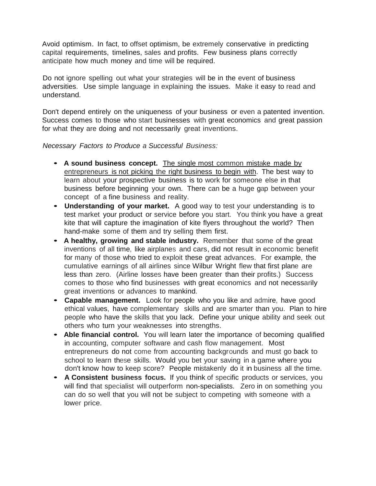Avoid optimism. In fact, to offset optimism, be extremely conservative in predicting capital requirements, timelines, sales and profits. Few business plans correctly anticipate how much money and time will be required.

Do not ignore spelling out what your strategies will be in the event of business adversities. Use simple language in explaining the issues. Make it easy to read and understand.

Don't depend entirely on the uniqueness of your business or even a patented invention. Success comes to those who start businesses with great economics and great passion for what they are doing and not necessarily great inventions.

*Necessary Factors to Produce a Successful Business:*

- **<sup>A</sup> sound business concept.** The single most common mistake made by entrepreneurs is not picking the right business to begin with. The best way to learn about your prospective business is to work for someone else in that business before beginning your own. There can be a huge gap between your concept of a fine business and reality.
- **Understanding of your market.** <sup>A</sup> good way to test your understanding is to test market your product or service before you start. You think you have a great kite that will capture the imagination of kite flyers throughout the world? Then hand-make some of them and try selling them first.
- **<sup>A</sup> healthy, growing and stable industry.** Remember that some of the great inventions of all time, like airplanes and cars, did not result in economic benefit for many of those who tried to exploit these great advances. For example, the cumulative earnings of all airlines since Wilbur Wright flew that first plane are less than zero. (Airline losses have been greater than their profits.) Success comes to those who find businesses with great economics and not necessarily great inventions or advances to mankind.
- **Capable management.** Look for people who you like and admire, have good ethical values, have complementary skills and are smarter than you. Plan to hire people who have the skills that you lack. Define your unique ability and seek out others who turn your weaknesses into strengths.
- **Able financial control.** You will learn later the importance of becoming qualified in accounting, computer software and cash flow management. Most entrepreneurs do not come from accounting backgrounds and must go back to school to learn these skills. Would you bet your saving in a game where you don't know how to keep score? People mistakenly do it in business all the time.
- **<sup>A</sup> Consistent business focus.** If you think of specific products or services, you will find that specialist will outperform non-specialists. Zero in on something you can do so well that you will not be subject to competing with someone with a lower price.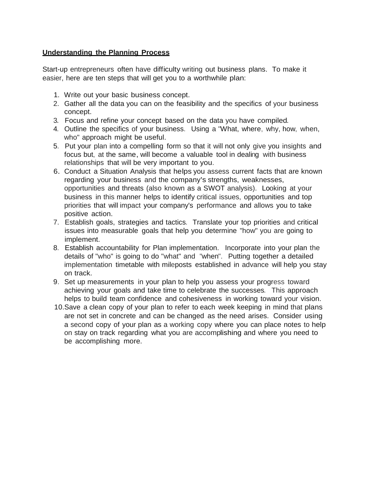## **Understanding the Planning Process**

Start-up entrepreneurs often have difficulty writing out business plans. To make it easier, here are ten steps that will get you to a worthwhile plan:

- 1. Write out your basic business concept.
- 2. Gather all the data you can on the feasibility and the specifics of your business concept.
- 3. Focus and refine your concept based on the data you have compiled.
- 4. Outline the specifics of your business. Using a "What, where, why, how, when, who" approach might be useful.
- 5. Put your plan into a compelling form so that it will not only give you insights and focus but, at the same, will become <sup>a</sup> valuable tool in dealing with business relationships that will be very important to you.
- 6. Conduct <sup>a</sup> Situation Analysis that helps you assess current facts that are known regarding your business and the company's strengths, weaknesses, opportunities and threats (also known as a SWOT analysis). Looking at your business in this manner helps to identify critical issues, opportunities and top priorities that will impact your company's performance and allows you to take positive action.
- 7. Establish goals, strategies and tactics. Translate your top priorities and critical issues into measurable goals that help you determine "how" you are going to implement.
- 8. Establish accountability for Plan implementation. Incorporate into your plan the details of "who" is going to do "what" and "when". Putting together a detailed implementation timetable with mileposts established in advance will help you stay on track.
- 9. Set up measurements in your plan to help you assess your progress toward achieving your goals and take time to celebrate the successes. This approach helps to build team confidence and cohesiveness in working toward your vision.
- 10.Save a clean copy of your plan to refer to each week keeping in mind that plans are not set in concrete and can be changed as the need arises. Consider using a second copy of your plan as a working copy where you can place notes to help on stay on track regarding what you are accomplishing and where you need to be accomplishing more.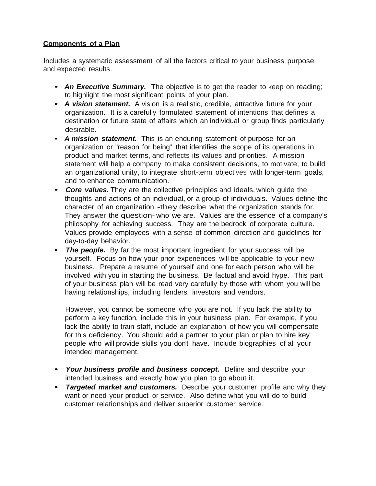# **Components of a Plan**

Includes a systematic assessment of all the factors critical to your business purpose and expected results.

- *An Executive Summary.* The objective is to get the reader to keep on reading; to highlight the most significant points of your plan.
- *<sup>A</sup> vision statement.* <sup>A</sup> vision is <sup>a</sup> realistic, credible, attractive future for your organization. It is a carefully formulated statement of intentions that defines a destination or future state of affairs which an individual or group finds particularly desirable.
- *A mission statement.* This is an enduring statement of purpose for an organization or "reason for being" that identifies the scope of its operations in product and market terms, and reflects its values and priorities. A mission statement will help a company to make consistent decisions, to motivate, to build an organizational unity, to integrate short-term objectives with longer-term goals, and to enhance communication.
- *Core values.* They are the collective principles and ideals, which guide the thoughts and actions of an individual, or <sup>a</sup> group of individuals. Values define the character of an organization -they describe what the organization stands for. They answer the question- who we are. Values are the essence of a company's philosophy for achieving success. They are the bedrock of corporate culture. Values provide employees with a sense of common direction and guidelines for day-to-day behavior.
- **The people.** By far the most important ingredient for your success will be yourself. Focus on how your prior experiences will be applicable to your new business. Prepare a resume of yourself and one for each person who will be involved with you in starting the business. Be factual and avoid hype. This part of your business plan will be read very carefully by those with whom you will be having relationships, including lenders, investors and vendors.

However, you cannot be someone who you are not. If you lack the ability to perform a key function, include this in your business plan. For example, if you lack the ability to train staff, include an explanation of how you will compensate for this deficiency. You should add <sup>a</sup> partner to your plan or plan to hire key people who will provide skills you don't have. Include biographies of all your intended management.

- *Your business profile and business concept.* Define and describe your intended business and exactly how you plan to go about it.
- *Targeted market and customers.* Describe your customer profile and why they want or need your product or service. Also define what you will do to build customer relationships and deliver superior customer service.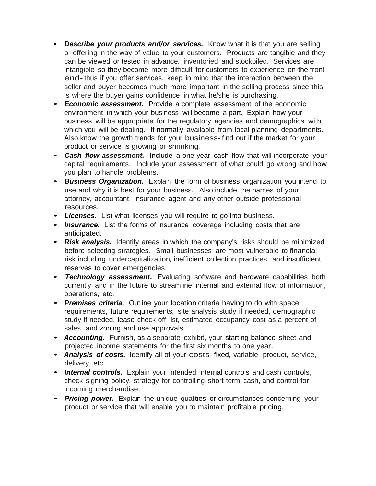- *Describe your products and/or services.* Know what it is that you are selling or offering in the way of value to your customers. Products are tangible and they can be viewed or tested in advance, inventoried and stockpiled. Services are intangible so they become more difficult for customers to experience on the front end-thus if you offer services, keep in mind that the interaction between the seller and buyer becomes much more important in the selling process since this is where the buyer gains confidence in what he/she is purchasing.
- *Economic assessment.* Provide <sup>a</sup> complete assessment of the economic environment in which your business will become a part. Explain how your business will be appropriate for the regulatory agencies and demographics with which you will be dealing. If normally available from local planning departments. Also know the growth trends for your business- find out if the market for your product or service is growing or shrinking.
- *Cash flow assessment.* Include <sup>a</sup> one-year cash flow that will incorporate your capital requirements. Include your assessment of what could go wrong and how you plan to handle problems.
- *Business Organization.* Explain the form of business organization you intend to use and why it is best for your business. Also include the names of your attorney, accountant, insurance agent and any other outside professional resources.
- *Licenses.* List what licenses you will require to go into business.
- **Insurance.** List the forms of insurance coverage including costs that are anticipated.
- *Risk analysis.* Identify areas in which the company's risks should be minimized before selecting strategies. Small businesses are most vulnerable to financial risk including undercapitalization, inefficient collection practices, and insufficient reserves to cover emergencies.
- *Technology assessment.* Evaluating software and hardware capabilities both currently and in the future to streamline internal and external flow of information, operations, etc.
- *Premises criteria.* Outline your location criteria having to do with space requirements, future requirements, site analysis study if needed, demographic study if needed, lease check-off list, estimated occupancy cost as a percent of sales, and zoning and use approvals.
- *Accounting.* Furnish, as a separate exhibit, your starting balance sheet and projected income statements for the first six months to one year.
- *Analysis of costs.* Identify all of your costs-fixed, variable, product, service, delivery, etc.
- *Internal controls.* Explain your intended internal controls and cash controls, check signing policy, strategy for controlling short-term cash, and control for incoming merchandise.
- *Pricing power.* Explain the unique qualities or circumstances concerning your product or service that will enable you to maintain profitable pricing.